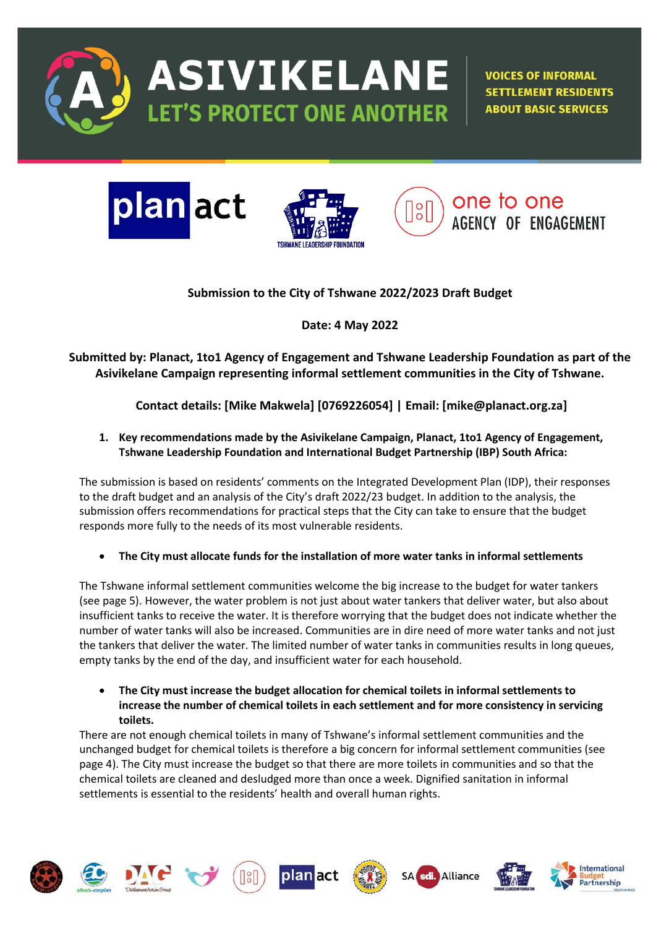

**ASIVIKELANE ET'S PROTECT ONE ANOTHER** 

**VOICES OF INFORMAL SETTLEMENT RESIDENTS ABOUT BASIC SERVICES** 







# **Submission to the City of Tshwane 2022/2023 Draft Budget**

**Date: 4 May 2022**

**Submitted by: Planact, 1to1 Agency of Engagement and Tshwane Leadership Foundation as part of the Asivikelane Campaign representing informal settlement communities in the City of Tshwane.** 

# **Contact details: [Mike Makwela] [0769226054] | Email: [mike@planact.org.za]**

# **1. Key recommendations made by the Asivikelane Campaign, Planact, 1to1 Agency of Engagement, Tshwane Leadership Foundation and International Budget Partnership (IBP) South Africa:**

The submission is based on residents' comments on the Integrated Development Plan (IDP), their responses to the draft budget and an analysis of the City's draft 2022/23 budget. In addition to the analysis, the submission offers recommendations for practical steps that the City can take to ensure that the budget responds more fully to the needs of its most vulnerable residents.

• **The City must allocate funds for the installation of more water tanks in informal settlements**

The Tshwane informal settlement communities welcome the big increase to the budget for water tankers (see page 5). However, the water problem is not just about water tankers that deliver water, but also about insufficient tanks to receive the water. It is therefore worrying that the budget does not indicate whether the number of water tanks will also be increased. Communities are in dire need of more water tanks and not just the tankers that deliver the water. The limited number of water tanks in communities results in long queues, empty tanks by the end of the day, and insufficient water for each household.

• **The City must increase the budget allocation for chemical toilets in informal settlements to increase the number of chemical toilets in each settlement and for more consistency in servicing toilets.**

There are not enough chemical toilets in many of Tshwane's informal settlement communities and the unchanged budget for chemical toilets is therefore a big concern for informal settlement communities (see page 4). The City must increase the budget so that there are more toilets in communities and so that the chemical toilets are cleaned and desludged more than once a week. Dignified sanitation in informal settlements is essential to the residents' health and overall human rights.

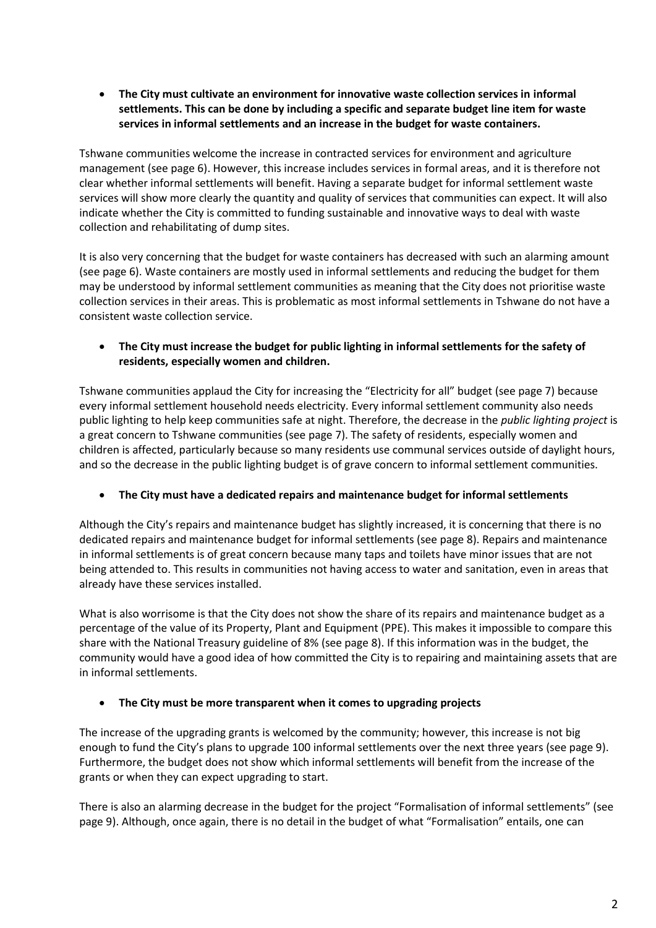• **The City must cultivate an environment for innovative waste collection services in informal settlements. This can be done by including a specific and separate budget line item for waste services in informal settlements and an increase in the budget for waste containers.** 

Tshwane communities welcome the increase in contracted services for environment and agriculture management (see page 6). However, this increase includes services in formal areas, and it is therefore not clear whether informal settlements will benefit. Having a separate budget for informal settlement waste services will show more clearly the quantity and quality of services that communities can expect. It will also indicate whether the City is committed to funding sustainable and innovative ways to deal with waste collection and rehabilitating of dump sites.

It is also very concerning that the budget for waste containers has decreased with such an alarming amount (see page 6). Waste containers are mostly used in informal settlements and reducing the budget for them may be understood by informal settlement communities as meaning that the City does not prioritise waste collection services in their areas. This is problematic as most informal settlements in Tshwane do not have a consistent waste collection service.

### • **The City must increase the budget for public lighting in informal settlements for the safety of residents, especially women and children.**

Tshwane communities applaud the City for increasing the "Electricity for all" budget (see page 7) because every informal settlement household needs electricity. Every informal settlement community also needs public lighting to help keep communities safe at night. Therefore, the decrease in the *public lighting project* is a great concern to Tshwane communities (see page 7). The safety of residents, especially women and children is affected, particularly because so many residents use communal services outside of daylight hours, and so the decrease in the public lighting budget is of grave concern to informal settlement communities.

### • **The City must have a dedicated repairs and maintenance budget for informal settlements**

Although the City's repairs and maintenance budget has slightly increased, it is concerning that there is no dedicated repairs and maintenance budget for informal settlements (see page 8). Repairs and maintenance in informal settlements is of great concern because many taps and toilets have minor issues that are not being attended to. This results in communities not having access to water and sanitation, even in areas that already have these services installed.

What is also worrisome is that the City does not show the share of its repairs and maintenance budget as a percentage of the value of its Property, Plant and Equipment (PPE). This makes it impossible to compare this share with the National Treasury guideline of 8% (see page 8). If this information was in the budget, the community would have a good idea of how committed the City is to repairing and maintaining assets that are in informal settlements.

### • **The City must be more transparent when it comes to upgrading projects**

The increase of the upgrading grants is welcomed by the community; however, this increase is not big enough to fund the City's plans to upgrade 100 informal settlements over the next three years (see page 9). Furthermore, the budget does not show which informal settlements will benefit from the increase of the grants or when they can expect upgrading to start.

There is also an alarming decrease in the budget for the project "Formalisation of informal settlements" (see page 9). Although, once again, there is no detail in the budget of what "Formalisation" entails, one can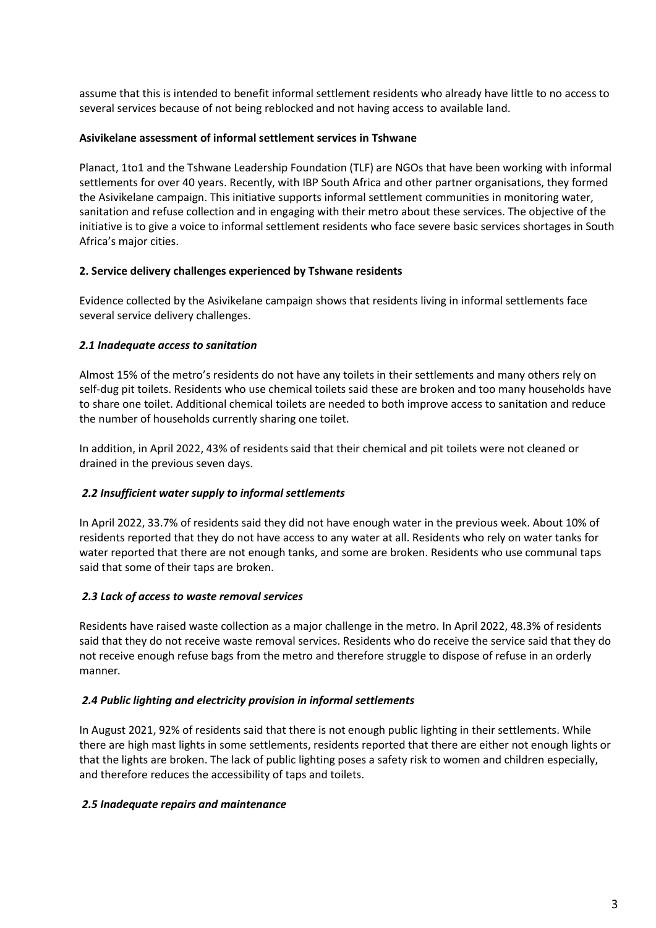assume that this is intended to benefit informal settlement residents who already have little to no access to several services because of not being reblocked and not having access to available land.

#### **Asivikelane assessment of informal settlement services in Tshwane**

Planact, 1to1 and the Tshwane Leadership Foundation (TLF) are NGOs that have been working with informal settlements for over 40 years. Recently, with IBP South Africa and other partner organisations, they formed the Asivikelane campaign. This initiative supports informal settlement communities in monitoring water, sanitation and refuse collection and in engaging with their metro about these services. The objective of the initiative is to give a voice to informal settlement residents who face severe basic services shortages in South Africa's major cities.

#### **2. Service delivery challenges experienced by Tshwane residents**

Evidence collected by the Asivikelane campaign shows that residents living in informal settlements face several service delivery challenges.

### *2.1 Inadequate access to sanitation*

Almost 15% of the metro's residents do not have any toilets in their settlements and many others rely on self-dug pit toilets. Residents who use chemical toilets said these are broken and too many households have to share one toilet. Additional chemical toilets are needed to both improve access to sanitation and reduce the number of households currently sharing one toilet.

In addition, in April 2022, 43% of residents said that their chemical and pit toilets were not cleaned or drained in the previous seven days.

### *2.2 Insufficient water supply to informal settlements*

In April 2022, 33.7% of residents said they did not have enough water in the previous week. About 10% of residents reported that they do not have access to any water at all. Residents who rely on water tanks for water reported that there are not enough tanks, and some are broken. Residents who use communal taps said that some of their taps are broken.

### *2.3 Lack of access to waste removal services*

Residents have raised waste collection as a major challenge in the metro. In April 2022, 48.3% of residents said that they do not receive waste removal services. Residents who do receive the service said that they do not receive enough refuse bags from the metro and therefore struggle to dispose of refuse in an orderly manner*.*

#### *2.4 Public lighting and electricity provision in informal settlements*

In August 2021, 92% of residents said that there is not enough public lighting in their settlements. While there are high mast lights in some settlements, residents reported that there are either not enough lights or that the lights are broken. The lack of public lighting poses a safety risk to women and children especially, and therefore reduces the accessibility of taps and toilets.

### *2.5 Inadequate repairs and maintenance*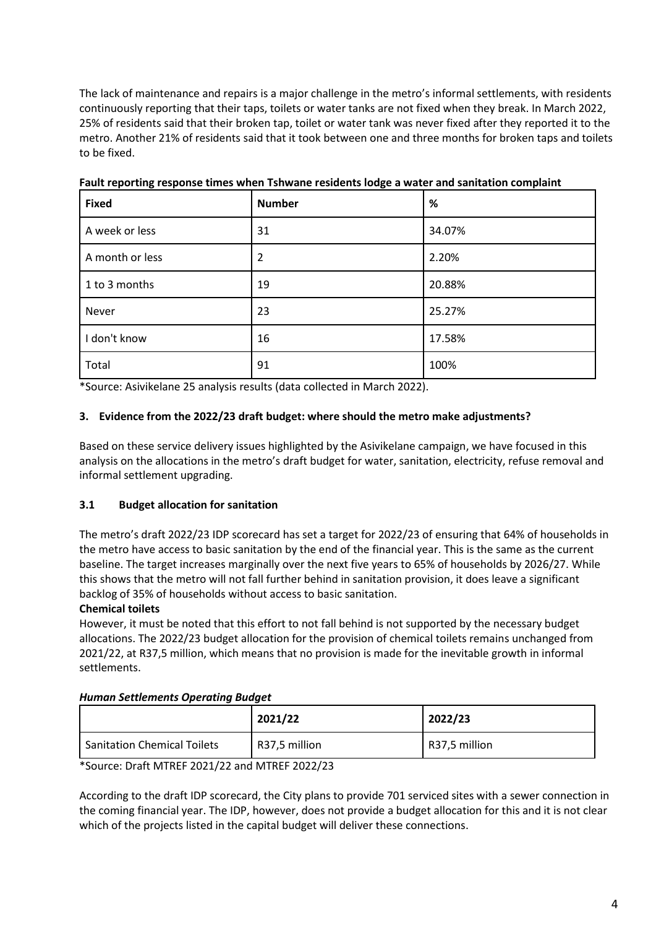The lack of maintenance and repairs is a major challenge in the metro's informal settlements, with residents continuously reporting that their taps, toilets or water tanks are not fixed when they break. In March 2022, 25% of residents said that their broken tap, toilet or water tank was never fixed after they reported it to the metro. Another 21% of residents said that it took between one and three months for broken taps and toilets to be fixed.

| <b>Fixed</b>    | <b>Number</b>  | %      |
|-----------------|----------------|--------|
| A week or less  | 31             | 34.07% |
| A month or less | $\overline{2}$ | 2.20%  |
| 1 to 3 months   | 19             | 20.88% |
| Never           | 23             | 25.27% |
| I don't know    | 16             | 17.58% |
| Total           | 91             | 100%   |

**Fault reporting response times when Tshwane residents lodge a water and sanitation complaint**

\*Source: Asivikelane 25 analysis results (data collected in March 2022).

## **3. Evidence from the 2022/23 draft budget: where should the metro make adjustments?**

Based on these service delivery issues highlighted by the Asivikelane campaign, we have focused in this analysis on the allocations in the metro's draft budget for water, sanitation, electricity, refuse removal and informal settlement upgrading.

### **3.1 Budget allocation for sanitation**

The metro's draft 2022/23 IDP scorecard has set a target for 2022/23 of ensuring that 64% of households in the metro have access to basic sanitation by the end of the financial year. This is the same as the current baseline. The target increases marginally over the next five years to 65% of households by 2026/27. While this shows that the metro will not fall further behind in sanitation provision, it does leave a significant backlog of 35% of households without access to basic sanitation.

### **Chemical toilets**

However, it must be noted that this effort to not fall behind is not supported by the necessary budget allocations. The 2022/23 budget allocation for the provision of chemical toilets remains unchanged from 2021/22, at R37,5 million, which means that no provision is made for the inevitable growth in informal settlements.

### *Human Settlements Operating Budget*

|                                    | 2021/22       | 2022/23       |
|------------------------------------|---------------|---------------|
| <b>Sanitation Chemical Toilets</b> | R37,5 million | R37,5 million |

\*Source: Draft MTREF 2021/22 and MTREF 2022/23

According to the draft IDP scorecard, the City plans to provide 701 serviced sites with a sewer connection in the coming financial year. The IDP, however, does not provide a budget allocation for this and it is not clear which of the projects listed in the capital budget will deliver these connections.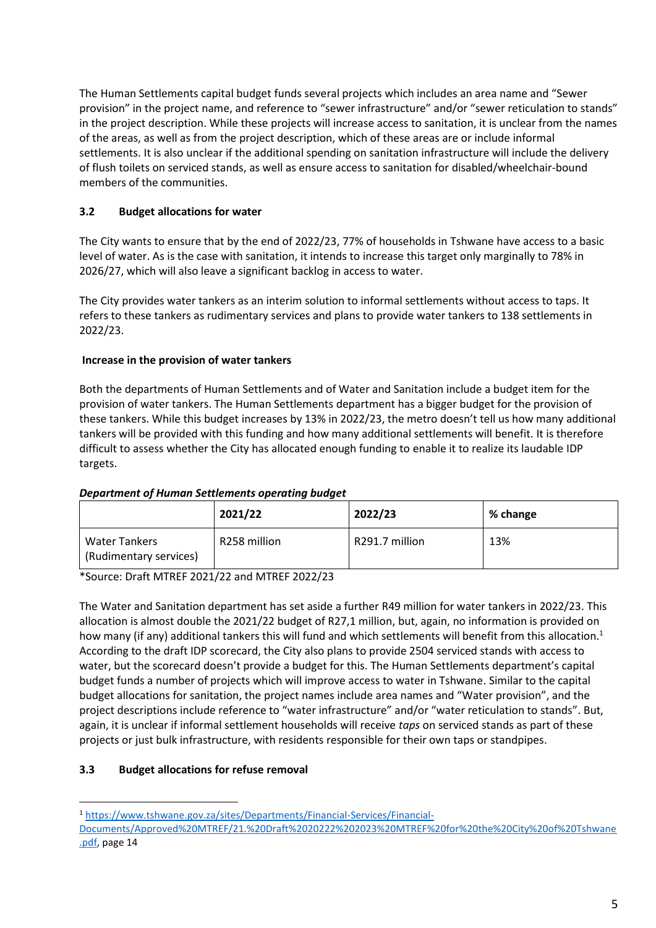The Human Settlements capital budget funds several projects which includes an area name and "Sewer provision" in the project name, and reference to "sewer infrastructure" and/or "sewer reticulation to stands" in the project description. While these projects will increase access to sanitation, it is unclear from the names of the areas, as well as from the project description, which of these areas are or include informal settlements. It is also unclear if the additional spending on sanitation infrastructure will include the delivery of flush toilets on serviced stands, as well as ensure access to sanitation for disabled/wheelchair-bound members of the communities.

# **3.2 Budget allocations for water**

The City wants to ensure that by the end of 2022/23, 77% of households in Tshwane have access to a basic level of water. As is the case with sanitation, it intends to increase this target only marginally to 78% in 2026/27, which will also leave a significant backlog in access to water.

The City provides water tankers as an interim solution to informal settlements without access to taps. It refers to these tankers as rudimentary services and plans to provide water tankers to 138 settlements in 2022/23.

### **Increase in the provision of water tankers**

Both the departments of Human Settlements and of Water and Sanitation include a budget item for the provision of water tankers. The Human Settlements department has a bigger budget for the provision of these tankers. While this budget increases by 13% in 2022/23, the metro doesn't tell us how many additional tankers will be provided with this funding and how many additional settlements will benefit. It is therefore difficult to assess whether the City has allocated enough funding to enable it to realize its laudable IDP targets.

|                                                | 2021/22      | 2022/23        | % change |
|------------------------------------------------|--------------|----------------|----------|
| <b>Water Tankers</b><br>(Rudimentary services) | R258 million | R291.7 million | 13%      |

#### *Department of Human Settlements operating budget*

\*Source: Draft MTREF 2021/22 and MTREF 2022/23

The Water and Sanitation department has set aside a further R49 million for water tankers in 2022/23. This allocation is almost double the 2021/22 budget of R27,1 million, but, again, no information is provided on how many (if any) additional tankers this will fund and which settlements will benefit from this allocation.<sup>1</sup> According to the draft IDP scorecard, the City also plans to provide 2504 serviced stands with access to water, but the scorecard doesn't provide a budget for this. The Human Settlements department's capital budget funds a number of projects which will improve access to water in Tshwane. Similar to the capital budget allocations for sanitation, the project names include area names and "Water provision", and the project descriptions include reference to "water infrastructure" and/or "water reticulation to stands". But, again, it is unclear if informal settlement households will receive *taps* on serviced stands as part of these projects or just bulk infrastructure, with residents responsible for their own taps or standpipes.

### **3.3 Budget allocations for refuse removal**

<sup>1</sup> [https://www.tshwane.gov.za/sites/Departments/Financial-Services/Financial-](https://www.tshwane.gov.za/sites/Departments/Financial-Services/Financial-Documents/Approved%20MTREF/21.%20Draft%2020222%202023%20MTREF%20for%20the%20City%20of%20Tshwane.pdf)

[Documents/Approved%20MTREF/21.%20Draft%2020222%202023%20MTREF%20for%20the%20City%20of%20Tshwane](https://www.tshwane.gov.za/sites/Departments/Financial-Services/Financial-Documents/Approved%20MTREF/21.%20Draft%2020222%202023%20MTREF%20for%20the%20City%20of%20Tshwane.pdf) [.pdf,](https://www.tshwane.gov.za/sites/Departments/Financial-Services/Financial-Documents/Approved%20MTREF/21.%20Draft%2020222%202023%20MTREF%20for%20the%20City%20of%20Tshwane.pdf) page 14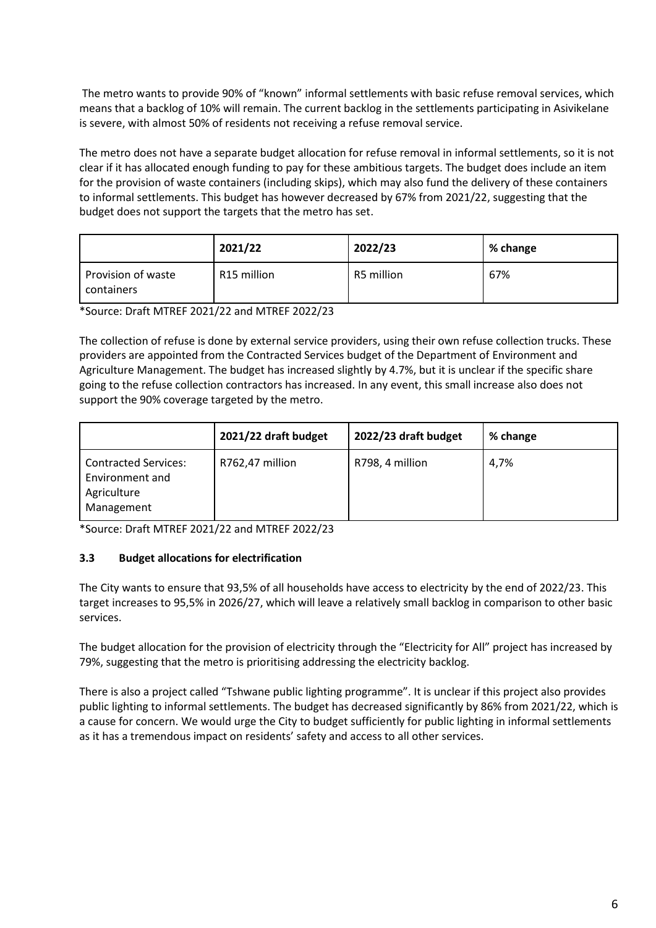The metro wants to provide 90% of "known" informal settlements with basic refuse removal services, which means that a backlog of 10% will remain. The current backlog in the settlements participating in Asivikelane is severe, with almost 50% of residents not receiving a refuse removal service.

The metro does not have a separate budget allocation for refuse removal in informal settlements, so it is not clear if it has allocated enough funding to pay for these ambitious targets. The budget does include an item for the provision of waste containers (including skips), which may also fund the delivery of these containers to informal settlements. This budget has however decreased by 67% from 2021/22, suggesting that the budget does not support the targets that the metro has set.

|                                  | 2021/22                 | 2022/23    | % change |
|----------------------------------|-------------------------|------------|----------|
| Provision of waste<br>containers | R <sub>15</sub> million | R5 million | 67%      |

\*Source: Draft MTREF 2021/22 and MTREF 2022/23

The collection of refuse is done by external service providers, using their own refuse collection trucks. These providers are appointed from the Contracted Services budget of the Department of Environment and Agriculture Management. The budget has increased slightly by 4.7%, but it is unclear if the specific share going to the refuse collection contractors has increased. In any event, this small increase also does not support the 90% coverage targeted by the metro.

|                                                                             | 2021/22 draft budget | 2022/23 draft budget | % change |
|-----------------------------------------------------------------------------|----------------------|----------------------|----------|
| <b>Contracted Services:</b><br>Environment and<br>Agriculture<br>Management | R762,47 million      | R798, 4 million      | 4,7%     |

\*Source: Draft MTREF 2021/22 and MTREF 2022/23

### **3.3 Budget allocations for electrification**

The City wants to ensure that 93,5% of all households have access to electricity by the end of 2022/23. This target increases to 95,5% in 2026/27, which will leave a relatively small backlog in comparison to other basic services.

The budget allocation for the provision of electricity through the "Electricity for All" project has increased by 79%, suggesting that the metro is prioritising addressing the electricity backlog.

There is also a project called "Tshwane public lighting programme". It is unclear if this project also provides public lighting to informal settlements. The budget has decreased significantly by 86% from 2021/22, which is a cause for concern. We would urge the City to budget sufficiently for public lighting in informal settlements as it has a tremendous impact on residents' safety and access to all other services.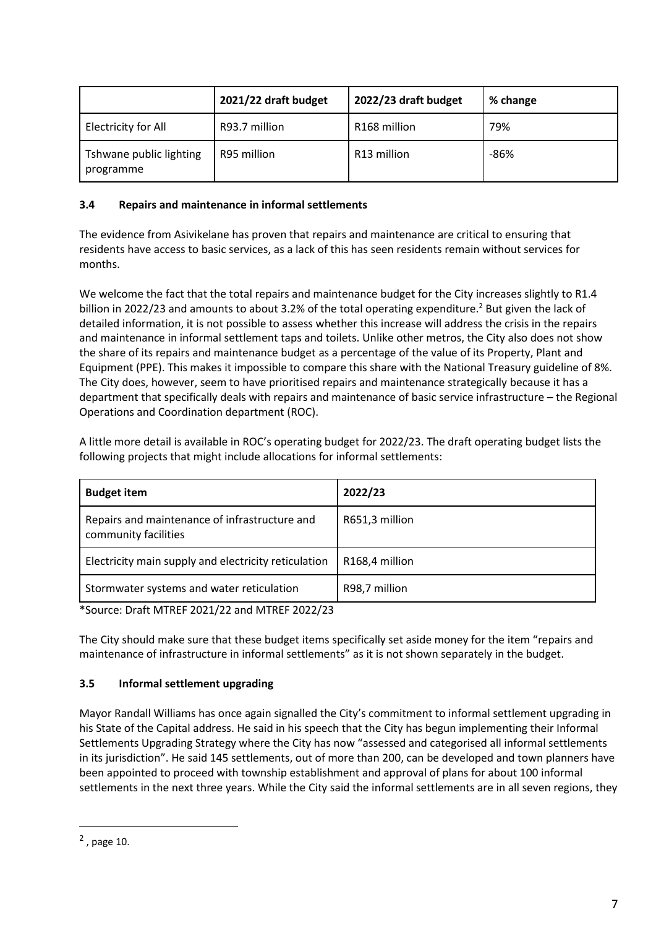|                                      | 2021/22 draft budget | 2022/23 draft budget     | % change |
|--------------------------------------|----------------------|--------------------------|----------|
| Electricity for All                  | R93.7 million        | R <sub>168</sub> million | 79%      |
| Tshwane public lighting<br>programme | R95 million          | R13 million              | $-86%$   |

## **3.4 Repairs and maintenance in informal settlements**

The evidence from Asivikelane has proven that repairs and maintenance are critical to ensuring that residents have access to basic services, as a lack of this has seen residents remain without services for months.

We welcome the fact that the total repairs and maintenance budget for the City increases slightly to R1.4 billion in 2022/23 and amounts to about 3.2% of the total operating expenditure.<sup>2</sup> But given the lack of detailed information, it is not possible to assess whether this increase will address the crisis in the repairs and maintenance in informal settlement taps and toilets. Unlike other metros, the City also does not show the share of its repairs and maintenance budget as a percentage of the value of its Property, Plant and Equipment (PPE). This makes it impossible to compare this share with the National Treasury guideline of 8%. The City does, however, seem to have prioritised repairs and maintenance strategically because it has a department that specifically deals with repairs and maintenance of basic service infrastructure – the Regional Operations and Coordination department (ROC).

A little more detail is available in ROC's operating budget for 2022/23. The draft operating budget lists the following projects that might include allocations for informal settlements:

| <b>Budget item</b>                                                    | 2022/23                     |
|-----------------------------------------------------------------------|-----------------------------|
| Repairs and maintenance of infrastructure and<br>community facilities | R651,3 million              |
| Electricity main supply and electricity reticulation                  | R <sub>168</sub> ,4 million |
| Stormwater systems and water reticulation                             | R98,7 million               |

\*Source: Draft MTREF 2021/22 and MTREF 2022/23

The City should make sure that these budget items specifically set aside money for the item "repairs and maintenance of infrastructure in informal settlements" as it is not shown separately in the budget.

### **3.5 Informal settlement upgrading**

Mayor Randall Williams has once again signalled the City's commitment to informal settlement upgrading in his State of the Capital address. He said in his speech that the City has begun implementing their Informal Settlements Upgrading Strategy where the City has now "assessed and categorised all informal settlements in its jurisdiction". He said 145 settlements, out of more than 200, can be developed and town planners have been appointed to proceed with township establishment and approval of plans for about 100 informal settlements in the next three years. While the City said the informal settlements are in all seven regions, they

 $<sup>2</sup>$ , page 10.</sup>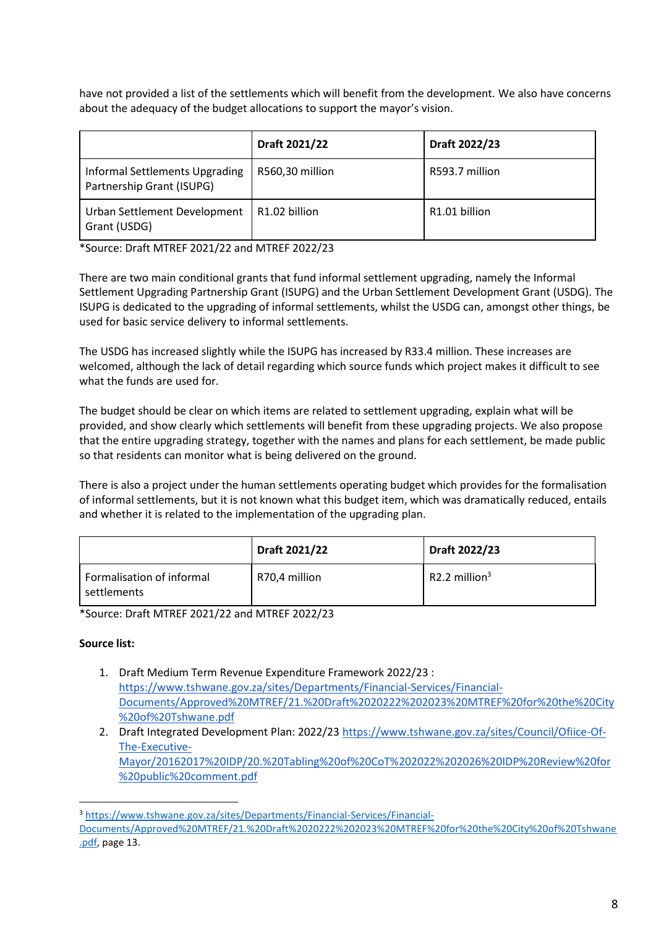have not provided a list of the settlements which will benefit from the development. We also have concerns about the adequacy of the budget allocations to support the mayor's vision.

|                                                             | Draft 2021/22             | Draft 2022/23  |
|-------------------------------------------------------------|---------------------------|----------------|
| Informal Settlements Upgrading<br>Partnership Grant (ISUPG) | R560,30 million           | R593.7 million |
| Urban Settlement Development<br>Grant (USDG)                | R <sub>1.02</sub> billion | R1.01 billion  |

\*Source: Draft MTREF 2021/22 and MTREF 2022/23

There are two main conditional grants that fund informal settlement upgrading, namely the Informal Settlement Upgrading Partnership Grant (ISUPG) and the Urban Settlement Development Grant (USDG). The ISUPG is dedicated to the upgrading of informal settlements, whilst the USDG can, amongst other things, be used for basic service delivery to informal settlements.

The USDG has increased slightly while the ISUPG has increased by R33.4 million. These increases are welcomed, although the lack of detail regarding which source funds which project makes it difficult to see what the funds are used for.

The budget should be clear on which items are related to settlement upgrading, explain what will be provided, and show clearly which settlements will benefit from these upgrading projects. We also propose that the entire upgrading strategy, together with the names and plans for each settlement, be made public so that residents can monitor what is being delivered on the ground.

There is also a project under the human settlements operating budget which provides for the formalisation of informal settlements, but it is not known what this budget item, which was dramatically reduced, entails and whether it is related to the implementation of the upgrading plan.

|                                          | Draft 2021/22 | Draft 2022/23    |
|------------------------------------------|---------------|------------------|
| Formalisation of informal<br>settlements | R70,4 million | R2.2 million $3$ |

\*Source: Draft MTREF 2021/22 and MTREF 2022/23

### **Source list:**

- 1. Draft Medium Term Revenue Expenditure Framework 2022/23 : [https://www.tshwane.gov.za/sites/Departments/Financial-Services/Financial-](https://www.tshwane.gov.za/sites/Departments/Financial-Services/Financial-Documents/Approved%20MTREF/21.%20Draft%2020222%202023%20MTREF%20for%20the%20City%20of%20Tshwane.pdf)[Documents/Approved%20MTREF/21.%20Draft%2020222%202023%20MTREF%20for%20the%20City](https://www.tshwane.gov.za/sites/Departments/Financial-Services/Financial-Documents/Approved%20MTREF/21.%20Draft%2020222%202023%20MTREF%20for%20the%20City%20of%20Tshwane.pdf) [%20of%20Tshwane.pdf](https://www.tshwane.gov.za/sites/Departments/Financial-Services/Financial-Documents/Approved%20MTREF/21.%20Draft%2020222%202023%20MTREF%20for%20the%20City%20of%20Tshwane.pdf)
- 2. Draft Integrated Development Plan: 2022/2[3 https://www.tshwane.gov.za/sites/Council/Ofiice-Of-](https://www.tshwane.gov.za/sites/Council/Ofiice-Of-The-Executive-Mayor/20162017%20IDP/20.%20Tabling%20of%20CoT%202022%202026%20IDP%20Review%20for%20public%20comment.pdf)[The-Executive-](https://www.tshwane.gov.za/sites/Council/Ofiice-Of-The-Executive-Mayor/20162017%20IDP/20.%20Tabling%20of%20CoT%202022%202026%20IDP%20Review%20for%20public%20comment.pdf)[Mayor/20162017%20IDP/20.%20Tabling%20of%20CoT%202022%202026%20IDP%20Review%20for](https://www.tshwane.gov.za/sites/Council/Ofiice-Of-The-Executive-Mayor/20162017%20IDP/20.%20Tabling%20of%20CoT%202022%202026%20IDP%20Review%20for%20public%20comment.pdf) [%20public%20comment.pdf](https://www.tshwane.gov.za/sites/Council/Ofiice-Of-The-Executive-Mayor/20162017%20IDP/20.%20Tabling%20of%20CoT%202022%202026%20IDP%20Review%20for%20public%20comment.pdf)

<sup>3</sup> [https://www.tshwane.gov.za/sites/Departments/Financial-Services/Financial-](https://www.tshwane.gov.za/sites/Departments/Financial-Services/Financial-Documents/Approved%20MTREF/21.%20Draft%2020222%202023%20MTREF%20for%20the%20City%20of%20Tshwane.pdf)[Documents/Approved%20MTREF/21.%20Draft%2020222%202023%20MTREF%20for%20the%20City%20of%20Tshwane](https://www.tshwane.gov.za/sites/Departments/Financial-Services/Financial-Documents/Approved%20MTREF/21.%20Draft%2020222%202023%20MTREF%20for%20the%20City%20of%20Tshwane.pdf) [.pdf,](https://www.tshwane.gov.za/sites/Departments/Financial-Services/Financial-Documents/Approved%20MTREF/21.%20Draft%2020222%202023%20MTREF%20for%20the%20City%20of%20Tshwane.pdf) page 13.